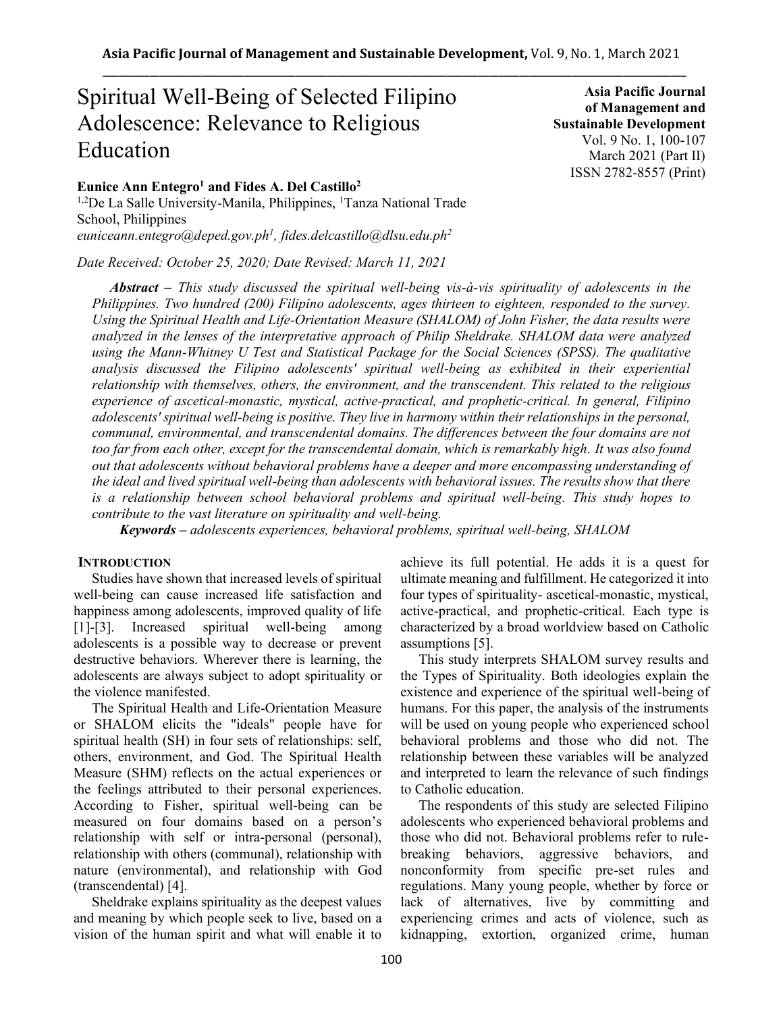# Spiritual Well-Being of Selected Filipino Adolescence: Relevance to Religious Education

# **Eunice Ann Entegro<sup>1</sup> and Fides A. Del Castillo<sup>2</sup>**

<sup>1,2</sup>De La Salle University-Manila, Philippines, <sup>1</sup>Tanza National Trade School, Philippines *euniceann.entegro@deped.gov.ph<sup>1</sup> , fides.delcastillo@dlsu.edu.ph<sup>2</sup>*

*Date Received: October 25, 2020; Date Revised: March 11, 2021*

*Abstract – This study discussed the spiritual well-being vis-à-vis spirituality of adolescents in the Philippines. Two hundred (200) Filipino adolescents, ages thirteen to eighteen, responded to the survey. Using the Spiritual Health and Life-Orientation Measure (SHALOM) of John Fisher, the data results were analyzed in the lenses of the interpretative approach of Philip Sheldrake. SHALOM data were analyzed using the Mann-Whitney U Test and Statistical Package for the Social Sciences (SPSS). The qualitative analysis discussed the Filipino adolescents' spiritual well-being as exhibited in their experiential relationship with themselves, others, the environment, and the transcendent. This related to the religious experience of ascetical-monastic, mystical, active-practical, and prophetic-critical. In general, Filipino adolescents' spiritual well-being is positive. They live in harmony within their relationships in the personal, communal, environmental, and transcendental domains. The differences between the four domains are not too far from each other, except for the transcendental domain, which is remarkably high. It was also found out that adolescents without behavioral problems have a deeper and more encompassing understanding of the ideal and lived spiritual well-being than adolescents with behavioral issues. The results show that there is a relationship between school behavioral problems and spiritual well-being. This study hopes to contribute to the vast literature on spirituality and well-being.*

*Keywords – adolescents experiences, behavioral problems, spiritual well-being, SHALOM*

## **INTRODUCTION**

Studies have shown that increased levels of spiritual well-being can cause increased life satisfaction and happiness among adolescents, improved quality of life [1]-[3]. Increased spiritual well-being among adolescents is a possible way to decrease or prevent destructive behaviors. Wherever there is learning, the adolescents are always subject to adopt spirituality or the violence manifested.

The Spiritual Health and Life-Orientation Measure or SHALOM elicits the "ideals" people have for spiritual health (SH) in four sets of relationships: self, others, environment, and God. The Spiritual Health Measure (SHM) reflects on the actual experiences or the feelings attributed to their personal experiences. According to Fisher, spiritual well-being can be measured on four domains based on a person's relationship with self or intra-personal (personal), relationship with others (communal), relationship with nature (environmental), and relationship with God (transcendental) [4].

Sheldrake explains spirituality as the deepest values and meaning by which people seek to live, based on a vision of the human spirit and what will enable it to achieve its full potential. He adds it is a quest for ultimate meaning and fulfillment. He categorized it into four types of spirituality- ascetical-monastic, mystical, active-practical, and prophetic-critical. Each type is characterized by a broad worldview based on Catholic assumptions [5].

This study interprets SHALOM survey results and the Types of Spirituality. Both ideologies explain the existence and experience of the spiritual well-being of humans. For this paper, the analysis of the instruments will be used on young people who experienced school behavioral problems and those who did not. The relationship between these variables will be analyzed and interpreted to learn the relevance of such findings to Catholic education.

The respondents of this study are selected Filipino adolescents who experienced behavioral problems and those who did not. Behavioral problems refer to rulebreaking behaviors, aggressive behaviors, and nonconformity from specific pre-set rules and regulations. Many young people, whether by force or lack of alternatives, live by committing and experiencing crimes and acts of violence, such as kidnapping, extortion, organized crime, human

**of Management and Sustainable Development**  Vol. 9 No. 1, 100-107 March 2021 (Part II) ISSN 2782-8557 (Print)

**Asia Pacific Journal**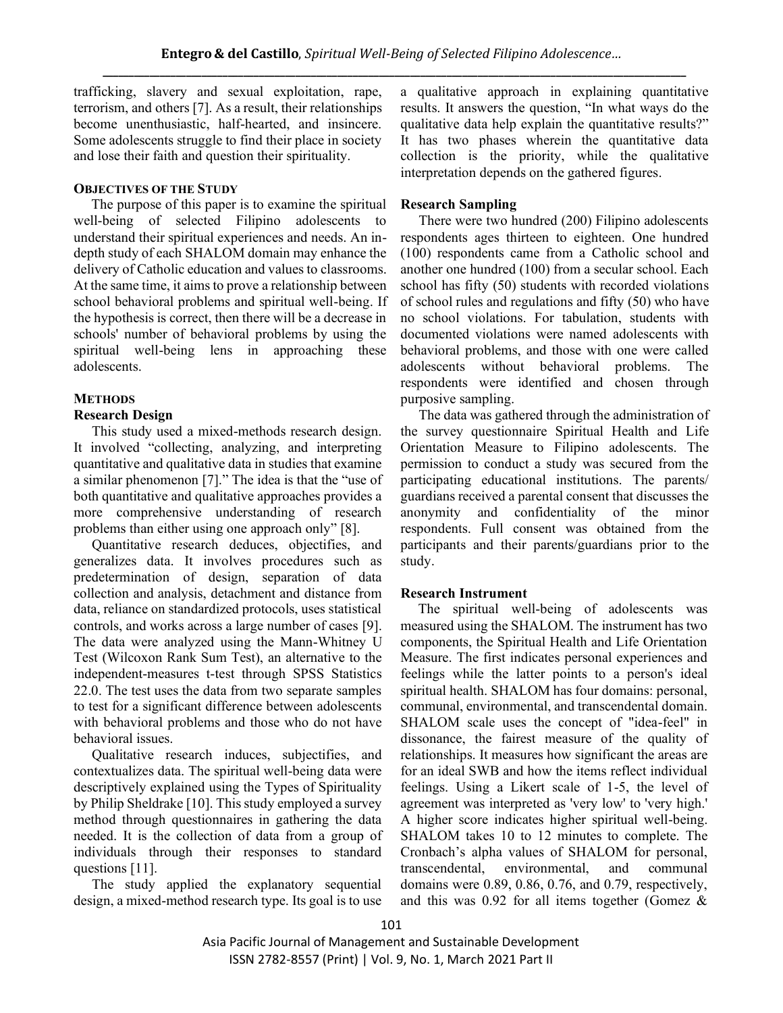trafficking, slavery and sexual exploitation, rape, terrorism, and others [7]. As a result, their relationships become unenthusiastic, half-hearted, and insincere. Some adolescents struggle to find their place in society and lose their faith and question their spirituality.

## **OBJECTIVES OF THE STUDY**

 The purpose of this paper is to examine the spiritual well-being of selected Filipino adolescents to understand their spiritual experiences and needs. An indepth study of each SHALOM domain may enhance the delivery of Catholic education and values to classrooms. At the same time, it aims to prove a relationship between school behavioral problems and spiritual well-being. If the hypothesis is correct, then there will be a decrease in schools' number of behavioral problems by using the spiritual well-being lens in approaching these adolescents.

# **METHODS**

## **Research Design**

This study used a mixed-methods research design. It involved "collecting, analyzing, and interpreting quantitative and qualitative data in studies that examine a similar phenomenon [7]." The idea is that the "use of both quantitative and qualitative approaches provides a more comprehensive understanding of research problems than either using one approach only" [8].

Quantitative research deduces, objectifies, and generalizes data. It involves procedures such as predetermination of design, separation of data collection and analysis, detachment and distance from data, reliance on standardized protocols, uses statistical controls, and works across a large number of cases [9]. The data were analyzed using the Mann-Whitney U Test (Wilcoxon Rank Sum Test), an alternative to the independent-measures t-test through SPSS Statistics 22.0. The test uses the data from two separate samples to test for a significant difference between adolescents with behavioral problems and those who do not have behavioral issues.

Qualitative research induces, subjectifies, and contextualizes data. The spiritual well-being data were descriptively explained using the Types of Spirituality by Philip Sheldrake [10]. This study employed a survey method through questionnaires in gathering the data needed. It is the collection of data from a group of individuals through their responses to standard questions [11].

The study applied the explanatory sequential design, a mixed-method research type. Its goal is to use

a qualitative approach in explaining quantitative results. It answers the question, "In what ways do the qualitative data help explain the quantitative results?" It has two phases wherein the quantitative data collection is the priority, while the qualitative interpretation depends on the gathered figures.

## **Research Sampling**

There were two hundred (200) Filipino adolescents respondents ages thirteen to eighteen. One hundred (100) respondents came from a Catholic school and another one hundred (100) from a secular school. Each school has fifty (50) students with recorded violations of school rules and regulations and fifty (50) who have no school violations. For tabulation, students with documented violations were named adolescents with behavioral problems, and those with one were called adolescents without behavioral problems. The respondents were identified and chosen through purposive sampling.

The data was gathered through the administration of the survey questionnaire Spiritual Health and Life Orientation Measure to Filipino adolescents. The permission to conduct a study was secured from the participating educational institutions. The parents/ guardians received a parental consent that discusses the anonymity and confidentiality of the minor respondents. Full consent was obtained from the participants and their parents/guardians prior to the study.

## **Research Instrument**

 The spiritual well-being of adolescents was measured using the SHALOM. The instrument has two components, the Spiritual Health and Life Orientation Measure. The first indicates personal experiences and feelings while the latter points to a person's ideal spiritual health. SHALOM has four domains: personal, communal, environmental, and transcendental domain. SHALOM scale uses the concept of "idea-feel" in dissonance, the fairest measure of the quality of relationships. It measures how significant the areas are for an ideal SWB and how the items reflect individual feelings. Using a Likert scale of 1-5, the level of agreement was interpreted as 'very low' to 'very high.' A higher score indicates higher spiritual well-being. SHALOM takes 10 to 12 minutes to complete. The Cronbach's alpha values of SHALOM for personal, transcendental environmental and communal domains were 0.89, 0.86, 0.76, and 0.79, respectively, and this was 0.92 for all items together (Gomez &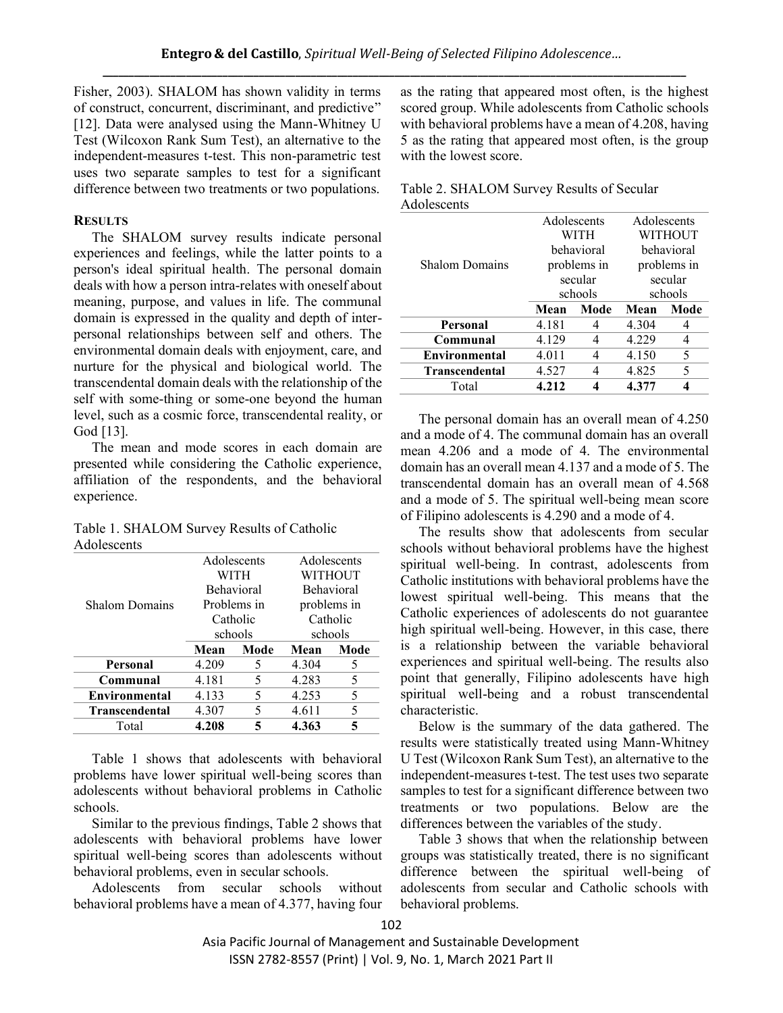Fisher, 2003). SHALOM has shown validity in terms of construct, concurrent, discriminant, and predictive" [12]. Data were analysed using the Mann-Whitney U Test (Wilcoxon Rank Sum Test), an alternative to the independent-measures t-test. This non-parametric test uses two separate samples to test for a significant difference between two treatments or two populations.

#### **RESULTS**

The SHALOM survey results indicate personal experiences and feelings, while the latter points to a person's ideal spiritual health. The personal domain deals with how a person intra-relates with oneself about meaning, purpose, and values in life. The communal domain is expressed in the quality and depth of interpersonal relationships between self and others. The environmental domain deals with enjoyment, care, and nurture for the physical and biological world. The transcendental domain deals with the relationship of the self with some-thing or some-one beyond the human level, such as a cosmic force, transcendental reality, or God [13].

The mean and mode scores in each domain are presented while considering the Catholic experience, affiliation of the respondents, and the behavioral experience.

| Table 1. SHALOM Survey Results of Catholic |  |
|--------------------------------------------|--|
| Adolescents                                |  |

|                       |       | Adolescents       |         | Adolescents |
|-----------------------|-------|-------------------|---------|-------------|
|                       | WITH  |                   | WITHOUT |             |
|                       |       | <b>Behavioral</b> |         | Behavioral  |
| <b>Shalom Domains</b> |       | Problems in       |         | problems in |
|                       |       | Catholic          |         | Catholic    |
|                       |       | schools           |         | schools     |
|                       |       |                   |         |             |
|                       | Mean  | Mode              | Mean    | Mode        |
| Personal              | 4.209 | 5                 | 4.304   | 5           |
| Communal              | 4.181 | 5                 | 4.283   | 5           |
| Environmental         | 4.133 | 5                 | 4.253   | 5           |
| <b>Transcendental</b> | 4.307 | 5                 | 4.611   | 5           |

Table 1 shows that adolescents with behavioral problems have lower spiritual well-being scores than adolescents without behavioral problems in Catholic schools.

Similar to the previous findings, Table 2 shows that adolescents with behavioral problems have lower spiritual well-being scores than adolescents without behavioral problems, even in secular schools.

Adolescents from secular schools without behavioral problems have a mean of 4.377, having four as the rating that appeared most often, is the highest scored group. While adolescents from Catholic schools with behavioral problems have a mean of 4.208, having 5 as the rating that appeared most often, is the group with the lowest score.

|             | Table 2. SHALOM Survey Results of Secular |
|-------------|-------------------------------------------|
| Adolescents |                                           |

|                       | Adolescents<br>WITH |             | Adolescents<br>WITHOUT |             |
|-----------------------|---------------------|-------------|------------------------|-------------|
|                       |                     | behavioral  |                        | behavioral  |
| <b>Shalom Domains</b> |                     | problems in |                        | problems in |
|                       |                     | secular     |                        | secular     |
|                       |                     | schools     |                        | schools     |
|                       |                     |             |                        |             |
|                       | Mean                | Mode        | Mean                   | Mode        |
| Personal              | 4.181               |             | 4.304                  | 4           |
| Communal              | 4.129               |             | 4.229                  | 4           |
| <b>Environmental</b>  | 4.011               |             | 4.150                  | 5           |
| <b>Transcendental</b> | 4.527               |             | 4.825                  | 5           |

The personal domain has an overall mean of 4.250 and a mode of 4. The communal domain has an overall mean 4.206 and a mode of 4. The environmental domain has an overall mean 4.137 and a mode of 5. The transcendental domain has an overall mean of 4.568 and a mode of 5. The spiritual well-being mean score of Filipino adolescents is 4.290 and a mode of 4.

The results show that adolescents from secular schools without behavioral problems have the highest spiritual well-being. In contrast, adolescents from Catholic institutions with behavioral problems have the lowest spiritual well-being. This means that the Catholic experiences of adolescents do not guarantee high spiritual well-being. However, in this case, there is a relationship between the variable behavioral experiences and spiritual well-being. The results also point that generally, Filipino adolescents have high spiritual well-being and a robust transcendental characteristic.

Below is the summary of the data gathered. The results were statistically treated using Mann-Whitney U Test (Wilcoxon Rank Sum Test), an alternative to the independent-measures t-test. The test uses two separate samples to test for a significant difference between two treatments or two populations. Below are the differences between the variables of the study.

Table 3 shows that when the relationship between groups was statistically treated, there is no significant difference between the spiritual well-being of adolescents from secular and Catholic schools with behavioral problems.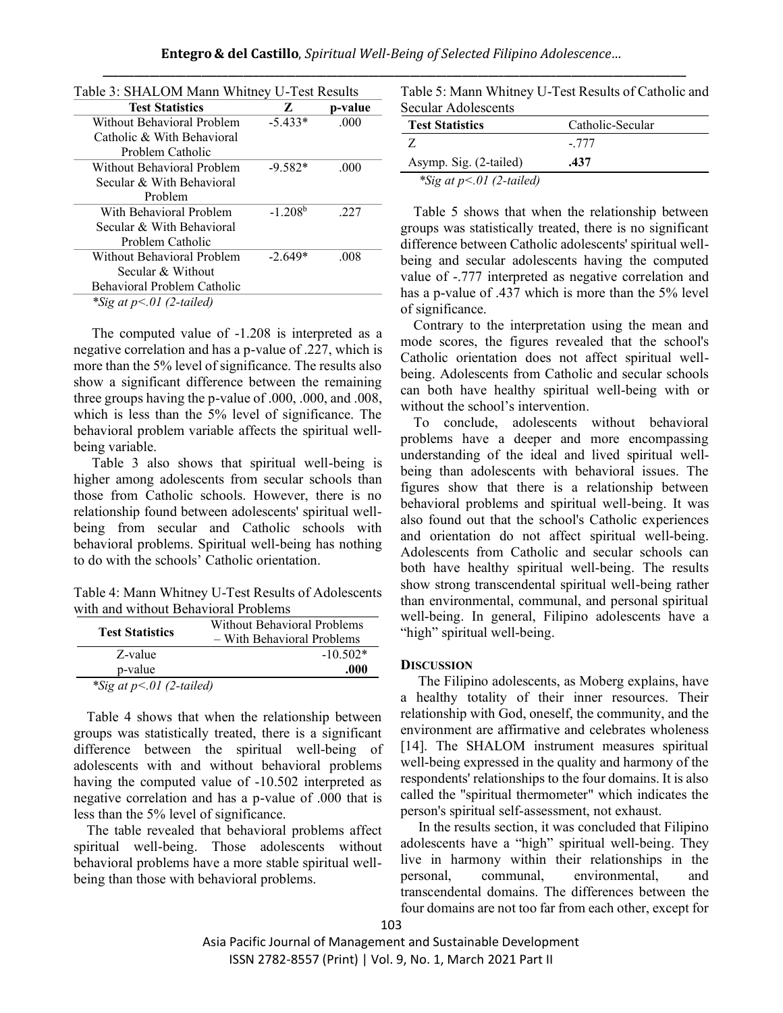| Table 3: SHALOM Mann Whitney U-Test Results |           |         |
|---------------------------------------------|-----------|---------|
| <b>Test Statistics</b>                      | Z         | p-value |
| Without Behavioral Problem                  | $-5.433*$ | .000    |
| Catholic & With Behavioral                  |           |         |
| Problem Catholic                            |           |         |
| Without Behavioral Problem                  | $-9.582*$ | -000    |
| Secular & With Behavioral                   |           |         |
| Problem                                     |           |         |
| With Behavioral Problem                     | $-1,208b$ | 227     |
| Secular & With Behavioral                   |           |         |
| Problem Catholic                            |           |         |
| Without Behavioral Problem                  | $-2.649*$ | .008    |
| Secular & Without                           |           |         |
| Behavioral Problem Catholic                 |           |         |
| *Sig at $p<.01$ (2-tailed)                  |           |         |

The computed value of -1.208 is interpreted as a negative correlation and has a p-value of .227, which is more than the 5% level of significance. The results also show a significant difference between the remaining three groups having the p-value of .000, .000, and .008, which is less than the 5% level of significance. The behavioral problem variable affects the spiritual wellbeing variable.

Table 3 also shows that spiritual well-being is higher among adolescents from secular schools than those from Catholic schools. However, there is no relationship found between adolescents' spiritual wellbeing from secular and Catholic schools with behavioral problems. Spiritual well-being has nothing to do with the schools' Catholic orientation.

Table 4: Mann Whitney U-Test Results of Adolescents with and without Behavioral Problems

|                            | <b>Without Behavioral Problems</b> |
|----------------------------|------------------------------------|
| <b>Test Statistics</b>     | - With Behavioral Problems         |
| Z-value                    | $-10.502*$                         |
| p-value                    | .000                               |
| *Sig at $p<.01$ (2-tailed) |                                    |

Table 4 shows that when the relationship between groups was statistically treated, there is a significant difference between the spiritual well-being of adolescents with and without behavioral problems having the computed value of -10.502 interpreted as negative correlation and has a p-value of .000 that is less than the 5% level of significance.

The table revealed that behavioral problems affect spiritual well-being. Those adolescents without behavioral problems have a more stable spiritual wellbeing than those with behavioral problems.

| Table 5: Mann Whitney U-Test Results of Catholic and |  |
|------------------------------------------------------|--|
| Secular Adolescents                                  |  |

| Jechini 7 Rhotescents    |                  |
|--------------------------|------------------|
| <b>Test Statistics</b>   | Catholic-Secular |
| -7.                      | - 777            |
| Asymp. Sig. (2-tailed)   | .437             |
| *Sig at $p<0$ (2-tailed) |                  |

Table 5 shows that when the relationship between groups was statistically treated, there is no significant difference between Catholic adolescents' spiritual wellbeing and secular adolescents having the computed value of -.777 interpreted as negative correlation and has a p-value of .437 which is more than the 5% level of significance.

Contrary to the interpretation using the mean and mode scores, the figures revealed that the school's Catholic orientation does not affect spiritual wellbeing. Adolescents from Catholic and secular schools can both have healthy spiritual well-being with or without the school's intervention.

To conclude, adolescents without behavioral problems have a deeper and more encompassing understanding of the ideal and lived spiritual wellbeing than adolescents with behavioral issues. The figures show that there is a relationship between behavioral problems and spiritual well-being. It was also found out that the school's Catholic experiences and orientation do not affect spiritual well-being. Adolescents from Catholic and secular schools can both have healthy spiritual well-being. The results show strong transcendental spiritual well-being rather than environmental, communal, and personal spiritual well-being. In general, Filipino adolescents have a "high" spiritual well-being.

#### **DISCUSSION**

 The Filipino adolescents, as Moberg explains, have a healthy totality of their inner resources. Their relationship with God, oneself, the community, and the environment are affirmative and celebrates wholeness [14]. The SHALOM instrument measures spiritual well-being expressed in the quality and harmony of the respondents' relationships to the four domains. It is also called the "spiritual thermometer" which indicates the person's spiritual self-assessment, not exhaust.

 In the results section, it was concluded that Filipino adolescents have a "high" spiritual well-being. They live in harmony within their relationships in the personal, communal, environmental, and transcendental domains. The differences between the four domains are not too far from each other, except for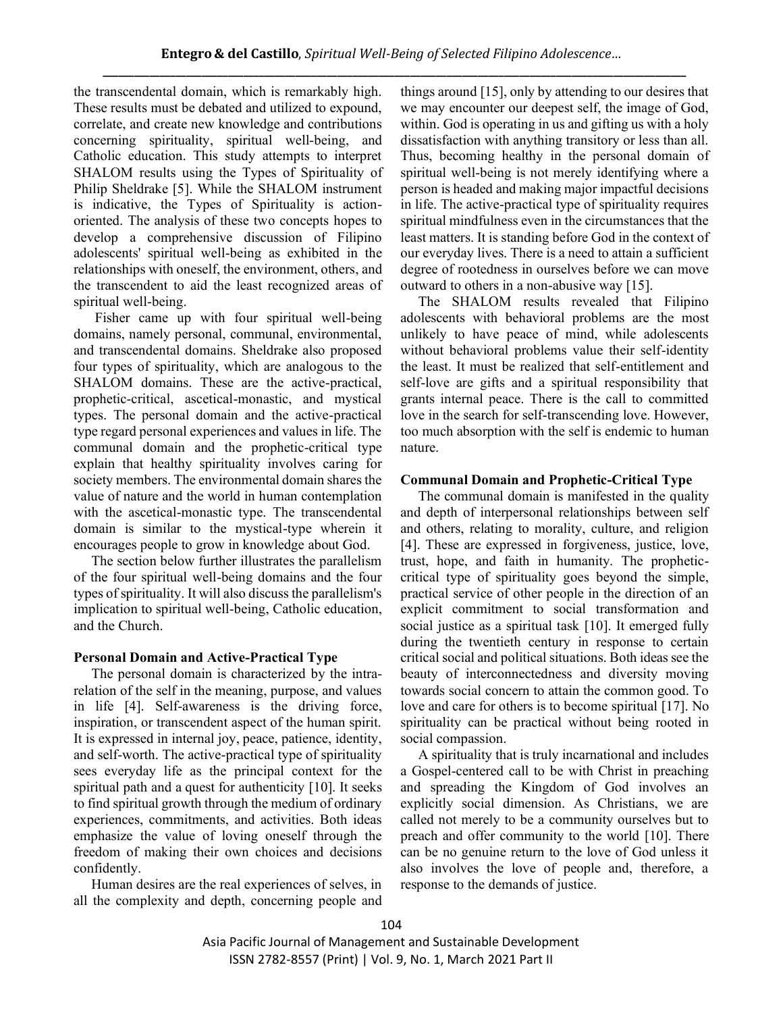the transcendental domain, which is remarkably high. These results must be debated and utilized to expound, correlate, and create new knowledge and contributions concerning spirituality, spiritual well-being, and Catholic education. This study attempts to interpret SHALOM results using the Types of Spirituality of Philip Sheldrake [5]. While the SHALOM instrument is indicative, the Types of Spirituality is actionoriented. The analysis of these two concepts hopes to develop a comprehensive discussion of Filipino adolescents' spiritual well-being as exhibited in the relationships with oneself, the environment, others, and the transcendent to aid the least recognized areas of spiritual well-being.

 Fisher came up with four spiritual well-being domains, namely personal, communal, environmental, and transcendental domains. Sheldrake also proposed four types of spirituality, which are analogous to the SHALOM domains. These are the active-practical, prophetic-critical, ascetical-monastic, and mystical types. The personal domain and the active-practical type regard personal experiences and values in life. The communal domain and the prophetic-critical type explain that healthy spirituality involves caring for society members. The environmental domain shares the value of nature and the world in human contemplation with the ascetical-monastic type. The transcendental domain is similar to the mystical-type wherein it encourages people to grow in knowledge about God.

 The section below further illustrates the parallelism of the four spiritual well-being domains and the four types of spirituality. It will also discuss the parallelism's implication to spiritual well-being, Catholic education, and the Church.

## **Personal Domain and Active-Practical Type**

 The personal domain is characterized by the intrarelation of the self in the meaning, purpose, and values in life [4]. Self-awareness is the driving force, inspiration, or transcendent aspect of the human spirit. It is expressed in internal joy, peace, patience, identity, and self-worth. The active-practical type of spirituality sees everyday life as the principal context for the spiritual path and a quest for authenticity [10]. It seeks to find spiritual growth through the medium of ordinary experiences, commitments, and activities. Both ideas emphasize the value of loving oneself through the freedom of making their own choices and decisions confidently.

 Human desires are the real experiences of selves, in all the complexity and depth, concerning people and things around [15], only by attending to our desires that we may encounter our deepest self, the image of God, within. God is operating in us and gifting us with a holy dissatisfaction with anything transitory or less than all. Thus, becoming healthy in the personal domain of spiritual well-being is not merely identifying where a person is headed and making major impactful decisions in life. The active-practical type of spirituality requires spiritual mindfulness even in the circumstances that the least matters. It is standing before God in the context of our everyday lives. There is a need to attain a sufficient degree of rootedness in ourselves before we can move outward to others in a non-abusive way [15].

 The SHALOM results revealed that Filipino adolescents with behavioral problems are the most unlikely to have peace of mind, while adolescents without behavioral problems value their self-identity the least. It must be realized that self-entitlement and self-love are gifts and a spiritual responsibility that grants internal peace. There is the call to committed love in the search for self-transcending love. However, too much absorption with the self is endemic to human nature.

#### **Communal Domain and Prophetic-Critical Type**

 The communal domain is manifested in the quality and depth of interpersonal relationships between self and others, relating to morality, culture, and religion [4]. These are expressed in forgiveness, justice, love, trust, hope, and faith in humanity. The propheticcritical type of spirituality goes beyond the simple, practical service of other people in the direction of an explicit commitment to social transformation and social justice as a spiritual task [10]. It emerged fully during the twentieth century in response to certain critical social and political situations. Both ideas see the beauty of interconnectedness and diversity moving towards social concern to attain the common good. To love and care for others is to become spiritual [17]. No spirituality can be practical without being rooted in social compassion.

 A spirituality that is truly incarnational and includes a Gospel-centered call to be with Christ in preaching and spreading the Kingdom of God involves an explicitly social dimension. As Christians, we are called not merely to be a community ourselves but to preach and offer community to the world [10]. There can be no genuine return to the love of God unless it also involves the love of people and, therefore, a response to the demands of justice.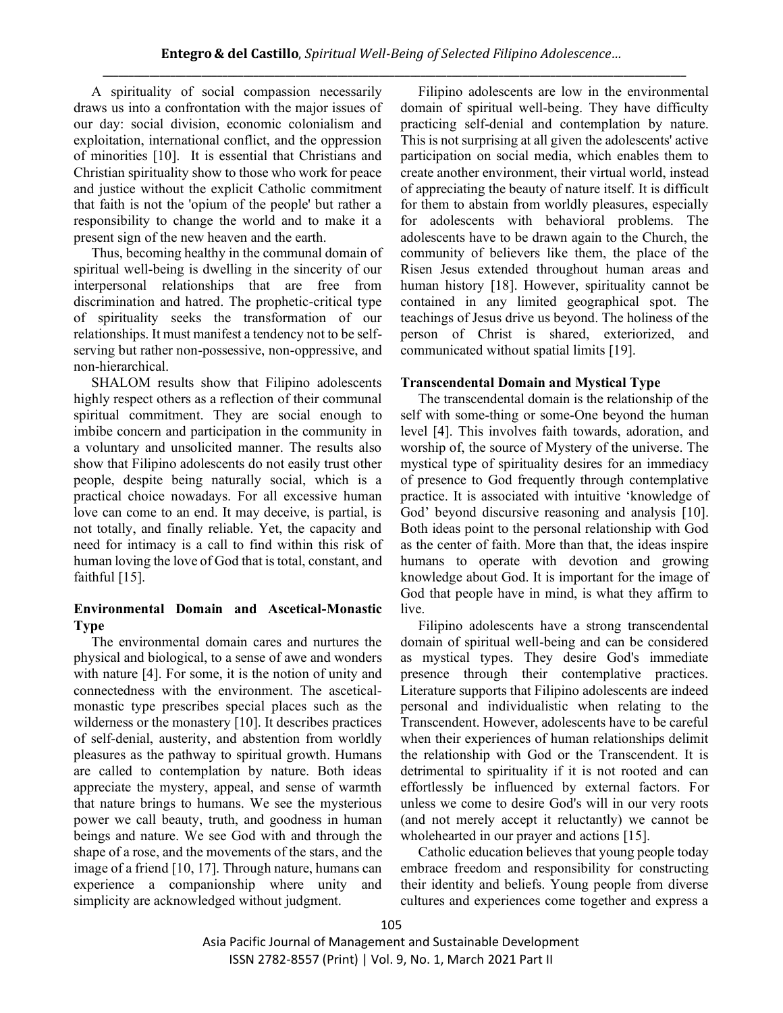A spirituality of social compassion necessarily draws us into a confrontation with the major issues of our day: social division, economic colonialism and exploitation, international conflict, and the oppression of minorities [10]. It is essential that Christians and Christian spirituality show to those who work for peace and justice without the explicit Catholic commitment that faith is not the 'opium of the people' but rather a responsibility to change the world and to make it a present sign of the new heaven and the earth.

 Thus, becoming healthy in the communal domain of spiritual well-being is dwelling in the sincerity of our interpersonal relationships that are free from discrimination and hatred. The prophetic-critical type of spirituality seeks the transformation of our relationships. It must manifest a tendency not to be selfserving but rather non-possessive, non-oppressive, and non-hierarchical.

 SHALOM results show that Filipino adolescents highly respect others as a reflection of their communal spiritual commitment. They are social enough to imbibe concern and participation in the community in a voluntary and unsolicited manner. The results also show that Filipino adolescents do not easily trust other people, despite being naturally social, which is a practical choice nowadays. For all excessive human love can come to an end. It may deceive, is partial, is not totally, and finally reliable. Yet, the capacity and need for intimacy is a call to find within this risk of human loving the love of God that is total, constant, and faithful [15].

## **Environmental Domain and Ascetical-Monastic Type**

 The environmental domain cares and nurtures the physical and biological, to a sense of awe and wonders with nature [4]. For some, it is the notion of unity and connectedness with the environment. The asceticalmonastic type prescribes special places such as the wilderness or the monastery [10]. It describes practices of self-denial, austerity, and abstention from worldly pleasures as the pathway to spiritual growth. Humans are called to contemplation by nature. Both ideas appreciate the mystery, appeal, and sense of warmth that nature brings to humans. We see the mysterious power we call beauty, truth, and goodness in human beings and nature. We see God with and through the shape of a rose, and the movements of the stars, and the image of a friend [10, 17]. Through nature, humans can experience a companionship where unity and simplicity are acknowledged without judgment.

 Filipino adolescents are low in the environmental domain of spiritual well-being. They have difficulty practicing self-denial and contemplation by nature. This is not surprising at all given the adolescents' active participation on social media, which enables them to create another environment, their virtual world, instead of appreciating the beauty of nature itself. It is difficult for them to abstain from worldly pleasures, especially for adolescents with behavioral problems. The adolescents have to be drawn again to the Church, the community of believers like them, the place of the Risen Jesus extended throughout human areas and human history [18]. However, spirituality cannot be contained in any limited geographical spot. The teachings of Jesus drive us beyond. The holiness of the person of Christ is shared, exteriorized, and communicated without spatial limits [19].

## **Transcendental Domain and Mystical Type**

 The transcendental domain is the relationship of the self with some-thing or some-One beyond the human level [4]. This involves faith towards, adoration, and worship of, the source of Mystery of the universe. The mystical type of spirituality desires for an immediacy of presence to God frequently through contemplative practice. It is associated with intuitive 'knowledge of God' beyond discursive reasoning and analysis [10]. Both ideas point to the personal relationship with God as the center of faith. More than that, the ideas inspire humans to operate with devotion and growing knowledge about God. It is important for the image of God that people have in mind, is what they affirm to live.

 Filipino adolescents have a strong transcendental domain of spiritual well-being and can be considered as mystical types. They desire God's immediate presence through their contemplative practices. Literature supports that Filipino adolescents are indeed personal and individualistic when relating to the Transcendent. However, adolescents have to be careful when their experiences of human relationships delimit the relationship with God or the Transcendent. It is detrimental to spirituality if it is not rooted and can effortlessly be influenced by external factors. For unless we come to desire God's will in our very roots (and not merely accept it reluctantly) we cannot be wholehearted in our prayer and actions [15].

 Catholic education believes that young people today embrace freedom and responsibility for constructing their identity and beliefs. Young people from diverse cultures and experiences come together and express a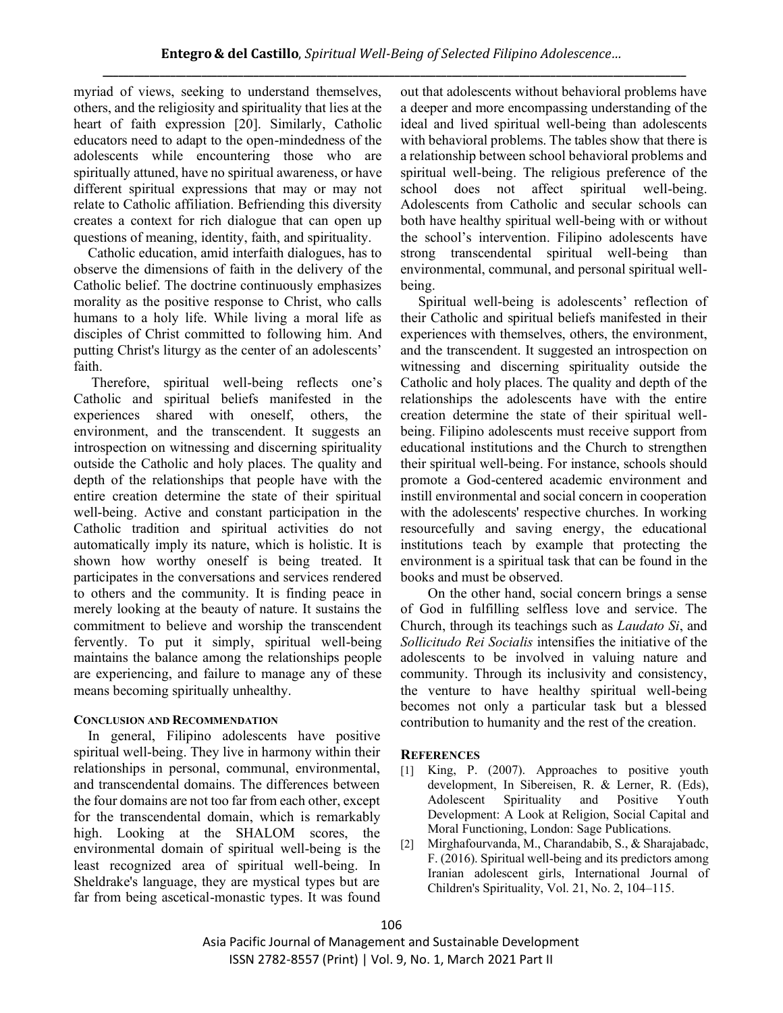myriad of views, seeking to understand themselves, others, and the religiosity and spirituality that lies at the heart of faith expression [20]. Similarly, Catholic educators need to adapt to the open-mindedness of the adolescents while encountering those who are spiritually attuned, have no spiritual awareness, or have different spiritual expressions that may or may not relate to Catholic affiliation. Befriending this diversity creates a context for rich dialogue that can open up questions of meaning, identity, faith, and spirituality.

 Catholic education, amid interfaith dialogues, has to observe the dimensions of faith in the delivery of the Catholic belief. The doctrine continuously emphasizes morality as the positive response to Christ, who calls humans to a holy life. While living a moral life as disciples of Christ committed to following him. And putting Christ's liturgy as the center of an adolescents' faith.

 Therefore, spiritual well-being reflects one's Catholic and spiritual beliefs manifested in the experiences shared with oneself, others, the environment, and the transcendent. It suggests an introspection on witnessing and discerning spirituality outside the Catholic and holy places. The quality and depth of the relationships that people have with the entire creation determine the state of their spiritual well-being. Active and constant participation in the Catholic tradition and spiritual activities do not automatically imply its nature, which is holistic. It is shown how worthy oneself is being treated. It participates in the conversations and services rendered to others and the community. It is finding peace in merely looking at the beauty of nature. It sustains the commitment to believe and worship the transcendent fervently. To put it simply, spiritual well-being maintains the balance among the relationships people are experiencing, and failure to manage any of these means becoming spiritually unhealthy.

# **CONCLUSION AND RECOMMENDATION**

 In general, Filipino adolescents have positive spiritual well-being. They live in harmony within their relationships in personal, communal, environmental, and transcendental domains. The differences between the four domains are not too far from each other, except for the transcendental domain, which is remarkably high. Looking at the SHALOM scores, the environmental domain of spiritual well-being is the least recognized area of spiritual well-being. In Sheldrake's language, they are mystical types but are far from being ascetical-monastic types. It was found

out that adolescents without behavioral problems have a deeper and more encompassing understanding of the ideal and lived spiritual well-being than adolescents with behavioral problems. The tables show that there is a relationship between school behavioral problems and spiritual well-being. The religious preference of the school does not affect spiritual well-being. Adolescents from Catholic and secular schools can both have healthy spiritual well-being with or without the school's intervention. Filipino adolescents have strong transcendental spiritual well-being than environmental, communal, and personal spiritual wellbeing.

 Spiritual well-being is adolescents' reflection of their Catholic and spiritual beliefs manifested in their experiences with themselves, others, the environment, and the transcendent. It suggested an introspection on witnessing and discerning spirituality outside the Catholic and holy places. The quality and depth of the relationships the adolescents have with the entire creation determine the state of their spiritual wellbeing. Filipino adolescents must receive support from educational institutions and the Church to strengthen their spiritual well-being. For instance, schools should promote a God-centered academic environment and instill environmental and social concern in cooperation with the adolescents' respective churches. In working resourcefully and saving energy, the educational institutions teach by example that protecting the environment is a spiritual task that can be found in the books and must be observed.

On the other hand, social concern brings a sense of God in fulfilling selfless love and service. The Church, through its teachings such as *Laudato Si*, and *Sollicitudo Rei Socialis* intensifies the initiative of the adolescents to be involved in valuing nature and community. Through its inclusivity and consistency, the venture to have healthy spiritual well-being becomes not only a particular task but a blessed contribution to humanity and the rest of the creation.

## **REFERENCES**

- [1] King, P. (2007). Approaches to positive youth development, In Sibereisen, R. & Lerner, R. (Eds), Adolescent Spirituality and Positive Youth Development: A Look at Religion, Social Capital and Moral Functioning, London: Sage Publications.
- [2] Mirghafourvanda, M., Charandabib, S., & Sharajabadc, F. (2016). Spiritual well-being and its predictors among Iranian adolescent girls, International Journal of Children's Spirituality, Vol. 21, No. 2, 104–115.